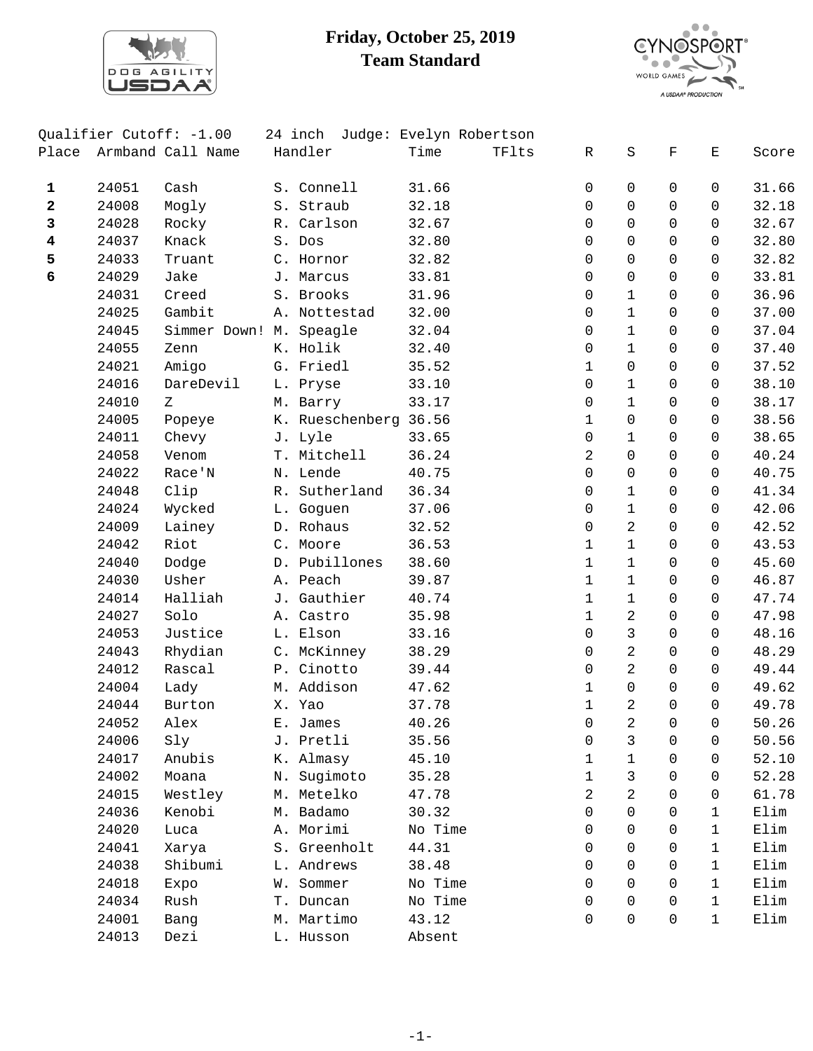

## **Friday, October 25, 2019 Team Standard**



|              |                | Qualifier Cutoff: -1.00 | 24 inch Judge: Evelyn Robertson   |         |       |                  |                |                |                |                |
|--------------|----------------|-------------------------|-----------------------------------|---------|-------|------------------|----------------|----------------|----------------|----------------|
| Place        |                | Armband Call Name       | Handler                           | Time    | TFlts | R                | S              | $\mathbf F$    | $\mathbf E$    | Score          |
| $\mathbf{1}$ | 24051          | Cash                    | S. Connell                        | 31.66   |       | 0                | 0              | $\mathbf 0$    | 0              | 31.66          |
| $\mathbf{2}$ | 24008          | Mogly                   | S. Straub                         | 32.18   |       | 0                | $\mathsf{O}$   | $\Omega$       | $\mathbf 0$    | 32.18          |
| 3            | 24028          | Rocky                   | R. Carlson                        | 32.67   |       | 0                | $\Omega$       | $\Omega$       | $\Omega$       | 32.67          |
| 4            | 24037          | Knack                   | S. Dos                            | 32.80   |       | 0                | $\Omega$       | $\Omega$       | $\Omega$       | 32.80          |
| 5            | 24033          | Truant                  | C. Hornor                         | 32.82   |       | 0                | $\mathsf{O}$   | $\mathbf 0$    | $\mathsf{O}$   | 32.82          |
| 6            | 24029          | Jake                    | J. Marcus                         | 33.81   |       | 0                | $\mathsf{O}$   | $\Omega$       | $\Omega$       | 33.81          |
|              | 24031          | Creed                   | S. Brooks                         | 31.96   |       | 0                | $\mathbf 1$    | $\Omega$       | $\Omega$       | 36.96          |
|              | 24025          | Gambit                  | A. Nottestad                      | 32.00   |       | 0                | $\mathbf{1}$   | $\Omega$       | $\Omega$       | 37.00          |
|              | 24045          | Simmer Down! M. Speagle |                                   | 32.04   |       | 0                | $\mathbf 1$    | $\Omega$       | $\mathbf 0$    | 37.04          |
|              | 24055          | Zenn                    | K. Holik                          | 32.40   |       | 0                | $\mathbf 1$    | $\mathbf 0$    | $\mathsf{O}$   | 37.40          |
|              | 24021          | Amigo                   | G. Friedl                         | 35.52   |       | $\mathbf 1$      | $\mathsf{O}$   | $\Omega$       | 0              | 37.52          |
|              | 24016          | DareDevil               |                                   |         |       | 0                | $\mathbf{1}$   | $\Omega$       | $\mathbf 0$    |                |
|              |                | Ζ                       | L. Pryse                          | 33.10   |       |                  | $\mathbf 1$    | $\mathbf 0$    | $\mathbf 0$    | 38.10          |
|              | 24010<br>24005 |                         | M. Barry<br>K. Rueschenberg 36.56 | 33.17   |       | 0<br>$\mathbf 1$ | $\mathsf{O}$   | $\mathsf{O}$   | $\mathsf{O}$   | 38.17<br>38.56 |
|              |                | Popeye                  |                                   | 33.65   |       |                  | $\mathbf{1}$   | $\Omega$       | $\mathbf 0$    |                |
|              | 24011          | Chevy                   | J. Lyle                           |         |       | 0                |                |                |                | 38.65          |
|              | 24058          | Venom                   | T. Mitchell                       | 36.24   |       | $\overline{a}$   | $\mathsf{O}$   | $\Omega$       | $\Omega$       | 40.24          |
|              | 24022          | Race'N                  | N. Lende                          | 40.75   |       | 0                | $\mathbf 0$    | $\Omega$       | $\mathbf 0$    | 40.75          |
|              | 24048          | Clip                    | R. Sutherland                     | 36.34   |       | 0                | $\mathbf 1$    | $\mathsf{O}$   | $\mathsf{O}$   | 41.34          |
|              | 24024          | Wycked                  | L. Goguen                         | 37.06   |       | 0                | $\mathbf{1}$   | $\Omega$       | 0              | 42.06          |
|              | 24009          | Lainey                  | D. Rohaus                         | 32.52   |       | 0                | 2              | $\Omega$       | $\mathbf 0$    | 42.52          |
|              | 24042          | Riot                    | C. Moore                          | 36.53   |       | $\mathbf 1$      | $\mathbf{1}$   | $\Omega$       | 0              | 43.53          |
|              | 24040          | Dodge                   | D. Pubillones                     | 38.60   |       | $\mathbf{1}$     | $\mathbf{1}$   | $\mathbf 0$    | $\mathsf{O}$   | 45.60          |
|              | 24030          | Usher                   | A. Peach                          | 39.87   |       | $\mathbf 1$      | $\mathbf{1}$   | $\Omega$       | $\mathbf 0$    | 46.87          |
|              | 24014          | Halliah                 | J. Gauthier                       | 40.74   |       | $\mathbf 1$      | $\mathbf{1}$   | $\Omega$       | $\Omega$       | 47.74          |
|              | 24027          | Solo                    | A. Castro                         | 35.98   |       | $\mathbf 1$      | $\overline{a}$ | $\Omega$       | $\Omega$       | 47.98          |
|              | 24053          | Justice                 | L. Elson                          | 33.16   |       | 0                | $\mathfrak{Z}$ | $\mathbf 0$    | $\mathsf{O}$   | 48.16          |
|              | 24043          | Rhydian                 | C. McKinney                       | 38.29   |       | 0                | $\overline{a}$ | $\Omega$       | $\mathbf 0$    | 48.29          |
|              | 24012          | Rascal                  | P. Cinotto                        | 39.44   |       | 0                | $\overline{a}$ | $\Omega$       | $\Omega$       | 49.44          |
|              | 24004          | Lady                    | M. Addison                        | 47.62   |       | 1                | $\Omega$       | $\Omega$       | $\Omega$       | 49.62          |
|              | 24044          | Burton                  | X. Yao                            | 37.78   |       | $\mathbf 1$      | $\overline{a}$ | $\mathbf 0$    | $\mathsf{O}$   | 49.78          |
|              | 24052          | Alex                    | E. James                          | 40.26   |       | $\overline{0}$   | $\overline{a}$ | $\overline{0}$ | $\overline{0}$ | 50.26          |
|              | 24006          | Sly                     | J. Pretli                         | 35.56   |       | 0                | 3              | 0              | 0              | 50.56          |
|              | 24017          | Anubis                  | K. Almasy                         | 45.10   |       | 1                | $\mathbf{1}$   | 0              | $\Omega$       | 52.10          |
|              | 24002          | Moana                   | N. Sugimoto                       | 35.28   |       | $\mathbf{1}$     | 3              | 0              | 0              | 52.28          |
|              | 24015          | Westley                 | M. Metelko                        | 47.78   |       | 2                | 2              | 0              | 0              | 61.78          |
|              | 24036          | Kenobi                  | M. Badamo                         | 30.32   |       | 0                | $\Omega$       | 0              | 1              | Elim           |
|              | 24020          | Luca                    | A. Morimi                         | No Time |       | 0                | $\Omega$       | $\Omega$       | $\mathbf{1}$   | Elim           |
|              | 24041          | Xarya                   | S. Greenholt                      | 44.31   |       | $\Omega$         | $\Omega$       | 0              | $\mathbf{1}$   | Elim           |
|              | 24038          | Shibumi                 | L. Andrews                        | 38.48   |       | 0                | $\mathbf 0$    | 0              | $\mathbf{1}$   | Elim           |
|              | 24018          | Expo                    | W. Sommer                         | No Time |       | 0                | $\Omega$       | 0              | $\mathbf{1}$   | Elim           |
|              | 24034          | Rush                    | T. Duncan                         | No Time |       | 0                | $\Omega$       | 0              | $\mathbf{1}$   | Elim           |
|              | 24001          | Bang                    | M. Martimo                        | 43.12   |       | $\Omega$         | $\Omega$       | 0              | $\mathbf{1}$   | Elim           |
|              |                |                         |                                   |         |       |                  |                |                |                |                |
|              | 24013          | Dezi                    | L. Husson                         | Absent  |       |                  |                |                |                |                |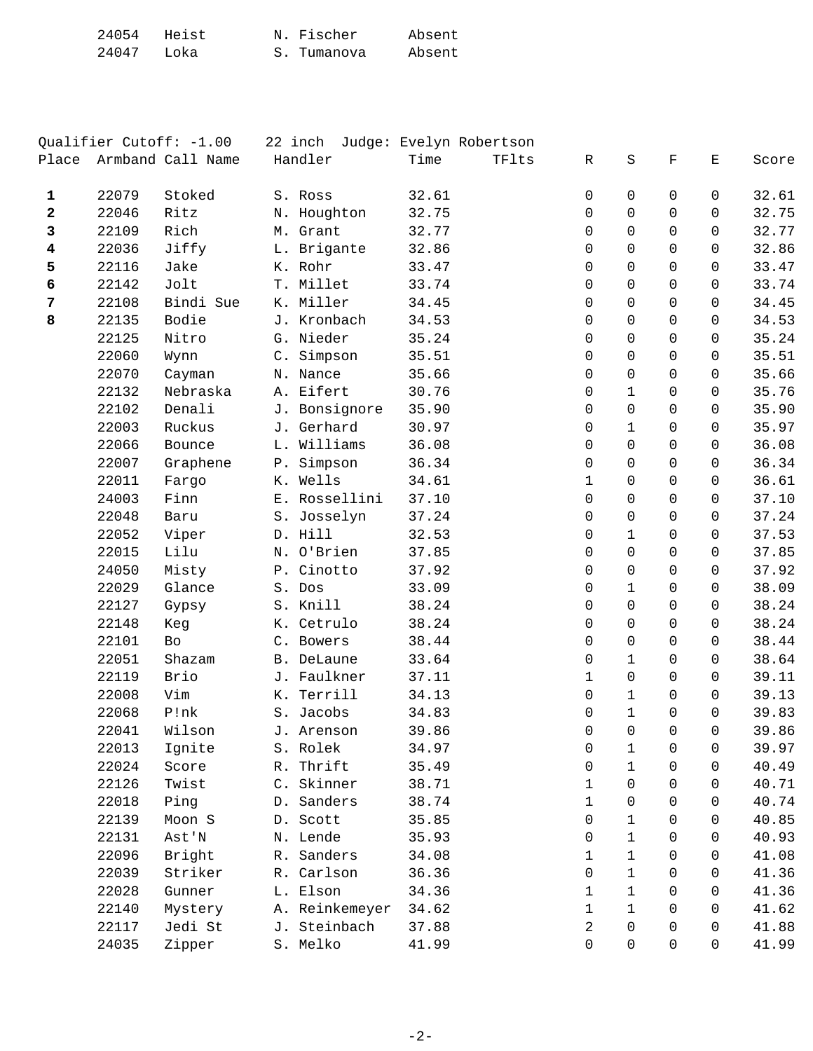| 24054 Heist |      | N. Fischer  | Absent |
|-------------|------|-------------|--------|
| 24047       | Loka | S. Tumanova | Absent |

|                         |       | Qualifier Cutoff: -1.00 | 22 inch        |       | Judge: Evelyn Robertson |             |              |             |          |       |
|-------------------------|-------|-------------------------|----------------|-------|-------------------------|-------------|--------------|-------------|----------|-------|
| Place                   |       | Armband Call Name       | Handler        | Time  | TFlts                   | R           | $\rm S$      | $\mathbf F$ | Е        | Score |
| $\mathbf{1}$            | 22079 | Stoked                  | S. Ross        | 32.61 |                         | 0           | $\Omega$     | $\Omega$    | 0        | 32.61 |
| 2                       | 22046 | Ritz                    | N. Houghton    | 32.75 |                         | 0           | $\Omega$     | $\Omega$    | $\Omega$ | 32.75 |
| 3                       | 22109 | Rich                    | M. Grant       | 32.77 |                         | $\mathbf 0$ | 0            | $\mathbf 0$ | 0        | 32.77 |
| $\overline{\mathbf{4}}$ | 22036 | Jiffy                   | L. Brigante    | 32.86 |                         | 0           | 0            | $\mathbf 0$ | 0        | 32.86 |
| 5                       | 22116 | Jake                    | K. Rohr        | 33.47 |                         | $\Omega$    | $\Omega$     | $\Omega$    | 0        | 33.47 |
| 6                       | 22142 | Jolt                    | T. Millet      | 33.74 |                         | $\Omega$    | $\Omega$     | $\Omega$    | 0        | 33.74 |
| $\overline{7}$          | 22108 | Bindi Sue               | K. Miller      | 34.45 |                         | $\mathbf 0$ | 0            | $\mathbf 0$ | 0        | 34.45 |
| 8                       | 22135 | Bodie                   | J. Kronbach    | 34.53 |                         | $\mathbf 0$ | $\mathbf 0$  | 0           | 0        | 34.53 |
|                         | 22125 | Nitro                   | G. Nieder      | 35.24 |                         | $\Omega$    | $\Omega$     | $\Omega$    | 0        | 35.24 |
|                         | 22060 | Wynn                    | C. Simpson     | 35.51 |                         | $\Omega$    | $\Omega$     | $\Omega$    | 0        | 35.51 |
|                         | 22070 | Cayman                  | N. Nance       | 35.66 |                         | $\mathbf 0$ | 0            | $\Omega$    | 0        | 35.66 |
|                         | 22132 | Nebraska                | A. Eifert      | 30.76 |                         | 0           | $\mathbf{1}$ | 0           | 0        | 35.76 |
|                         | 22102 | Denali                  | J. Bonsignore  | 35.90 |                         | 0           | 0            | $\Omega$    | 0        | 35.90 |
|                         | 22003 | Ruckus                  | J. Gerhard     | 30.97 |                         | 0           | $\mathbf{1}$ | $\Omega$    | 0        | 35.97 |
|                         | 22066 | Bounce                  | L. Williams    | 36.08 |                         | $\Omega$    | 0            | $\Omega$    | 0        | 36.08 |
|                         | 22007 | Graphene                | P. Simpson     | 36.34 |                         | $\mathbf 0$ | 0            | 0           | 0        | 36.34 |
|                         | 22011 | Fargo                   | K. Wells       | 34.61 |                         | $\mathbf 1$ | 0            | $\mathbf 0$ | 0        | 36.61 |
|                         | 24003 | Finn                    | E. Rossellini  | 37.10 |                         | $\mathbf 0$ | $\Omega$     | $\Omega$    | 0        | 37.10 |
|                         | 22048 | Baru                    | S. Josselyn    | 37.24 |                         | $\Omega$    | $\mathbf 0$  | $\mathbf 0$ | 0        | 37.24 |
|                         | 22052 | Viper                   | D. Hill        | 32.53 |                         | $\mathbf 0$ | $\mathbf{1}$ | $\mathbf 0$ | 0        | 37.53 |
|                         | 22015 | Lilu                    | N. O'Brien     | 37.85 |                         | 0           | 0            | $\mathbf 0$ | 0        | 37.85 |
|                         | 24050 | Misty                   | P. Cinotto     | 37.92 |                         | $\Omega$    | 0            | $\Omega$    | 0        | 37.92 |
|                         | 22029 | Glance                  | S. Dos         | 33.09 |                         | $\Omega$    | $\mathbf{1}$ | $\Omega$    | $\Omega$ | 38.09 |
|                         | 22127 | Gypsy                   | S. Knill       | 38.24 |                         | $\mathbf 0$ | 0            | $\mathbf 0$ | 0        | 38.24 |
|                         | 22148 | Keg                     | K. Cetrulo     | 38.24 |                         | 0           | 0            | 0           | 0        | 38.24 |
|                         | 22101 | Bo                      | C. Bowers      | 38.44 |                         | 0           | $\Omega$     | $\Omega$    | 0        | 38.44 |
|                         | 22051 | Shazam                  | B. DeLaune     | 33.64 |                         | 0           | $\mathbf{1}$ | $\Omega$    | $\Omega$ | 38.64 |
|                         | 22119 | Brio                    | J. Faulkner    | 37.11 |                         | $\mathbf 1$ | $\mathbf 0$  | $\mathbf 0$ | 0        | 39.11 |
|                         | 22008 | Vim                     | K. Terrill     | 34.13 |                         | $\mathbf 0$ | $\mathbf{1}$ | 0           | 0        | 39.13 |
|                         | 22068 | P!nk                    | S. Jacobs      | 34.83 |                         | 0           | $\mathbf{1}$ | $\Omega$    | 0        | 39.83 |
|                         | 22041 | Wilson                  | J. Arenson     | 39.86 |                         | $\Omega$    | $\Omega$     | $\Omega$    | $\Omega$ | 39.86 |
|                         | 22013 | Ignite                  | S. Rolek       | 34.97 |                         | 0           | $\mathbf{1}$ | 0           | 0        | 39.97 |
|                         | 22024 | Score                   | R. Thrift      | 35.49 |                         | 0           | $\mathbf{1}$ | 0           | $\Omega$ | 40.49 |
|                         | 22126 | Twist                   | C. Skinner     | 38.71 |                         | 1           | $\Omega$     | 0           | 0        | 40.71 |
|                         | 22018 | Ping                    | D. Sanders     | 38.74 |                         | $\mathbf 1$ | $\Omega$     | 0           | 0        | 40.74 |
|                         | 22139 | Moon S                  | D. Scott       | 35.85 |                         | $\Omega$    | $\mathbf{1}$ | 0           | 0        | 40.85 |
|                         | 22131 | Ast'N                   | N. Lende       | 35.93 |                         | 0           | $\mathbf 1$  | 0           | 0        | 40.93 |
|                         | 22096 | Bright                  | R. Sanders     | 34.08 |                         | 1           | 1            | 0           | 0        | 41.08 |
|                         | 22039 | Striker                 | R. Carlson     | 36.36 |                         | 0           | $\mathbf{1}$ | 0           | 0        | 41.36 |
|                         | 22028 | Gunner                  | L. Elson       | 34.36 |                         | 1           | $\mathbf{1}$ | 0           | 0        | 41.36 |
|                         | 22140 | Mystery                 | A. Reinkemeyer | 34.62 |                         | 1           | $\mathbf{1}$ | 0           | 0        | 41.62 |
|                         | 22117 | Jedi St                 | J. Steinbach   | 37.88 |                         | 2           | $\Omega$     | 0           | 0        | 41.88 |
|                         | 24035 | Zipper                  | S. Melko       | 41.99 |                         | $\mathbf 0$ | 0            | 0           | 0        | 41.99 |
|                         |       |                         |                |       |                         |             |              |             |          |       |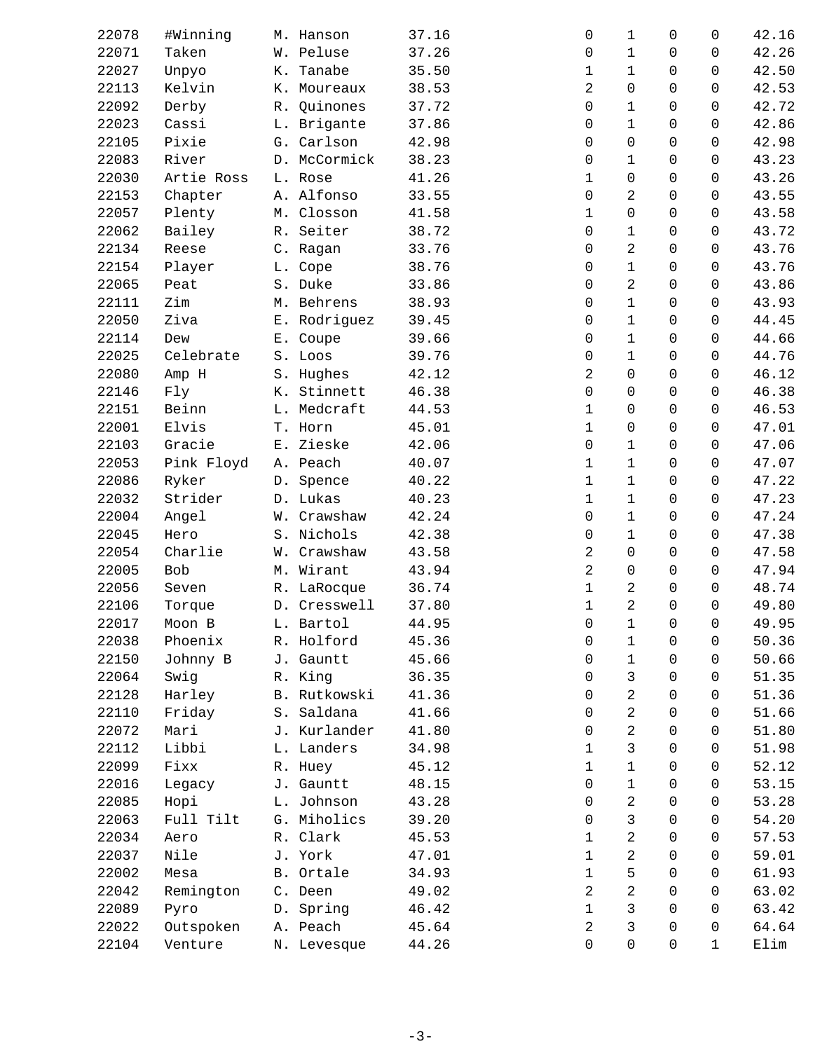| 22078 | #Winning   | M. Hanson    | 37.16 | 0              | 1            | 0            | 0                   | 42.16 |
|-------|------------|--------------|-------|----------------|--------------|--------------|---------------------|-------|
| 22071 | Taken      | W. Peluse    | 37.26 | 0              | 1            | $\mathbf 0$  | 0                   | 42.26 |
| 22027 | Unpyo      | K. Tanabe    | 35.50 | 1              | 1            | $\Omega$     | $\Omega$            | 42.50 |
| 22113 | Kelvin     | K. Moureaux  | 38.53 | 2              | 0            | $\mathbf 0$  | 0                   | 42.53 |
| 22092 | Derby      | R. Quinones  | 37.72 | $\mathbf 0$    | $\mathbf 1$  | 0            | 0                   | 42.72 |
| 22023 | Cassi      | L. Brigante  | 37.86 | 0              | $\mathbf 1$  | 0            | 0                   | 42.86 |
| 22105 | Pixie      | G. Carlson   | 42.98 | 0              | 0            | $\Omega$     | 0                   | 42.98 |
| 22083 | River      | D. McCormick | 38.23 | 0              | $\mathbf 1$  | $\mathbf 0$  | $\mathbf 0$         | 43.23 |
| 22030 | Artie Ross | L. Rose      | 41.26 | 1              | 0            | $\mathsf{O}$ | 0                   | 43.26 |
| 22153 | Chapter    | A. Alfonso   | 33.55 | $\mathbf 0$    | 2            | $\mathbf 0$  | 0                   | 43.55 |
| 22057 | Plenty     | M. Closson   | 41.58 | $\mathbf 1$    | 0            | $\Omega$     | 0                   | 43.58 |
| 22062 | Bailey     | R. Seiter    | 38.72 | 0              | $\mathbf 1$  | $\mathbf 0$  | 0                   | 43.72 |
| 22134 | Reese      | C. Ragan     | 33.76 | 0              | 2            | $\mathsf{O}$ | 0                   | 43.76 |
| 22154 | Player     | L. Cope      | 38.76 | 0              | $\mathbf 1$  | 0            | 0                   | 43.76 |
| 22065 | Peat       | S. Duke      | 33.86 | 0              | 2            | $\mathbf 0$  | 0                   | 43.86 |
| 22111 | Zim        | M. Behrens   | 38.93 | 0              | $\mathbf 1$  | $\mathbf 0$  | $\mathbf 0$         | 43.93 |
| 22050 | Ziva       | E. Rodriguez | 39.45 | 0              | $\mathbf{1}$ | $\mathsf{O}$ | $\mathbf 0$         | 44.45 |
| 22114 | Dew        | E. Coupe     | 39.66 | 0              | $\mathbf 1$  | 0            | 0                   | 44.66 |
| 22025 | Celebrate  | S. Loos      | 39.76 | 0              | $\mathbf 1$  | 0            | 0                   | 44.76 |
| 22080 | Amp H      | S. Hughes    | 42.12 | 2              | 0            | $\mathbf 0$  | 0                   | 46.12 |
| 22146 | Fly        | K. Stinnett  | 46.38 | 0              | 0            | $\mathbf 0$  | 0                   | 46.38 |
| 22151 | Beinn      | L. Medcraft  | 44.53 | $\mathbf{1}$   | 0            | $\mathbf 0$  | 0                   | 46.53 |
| 22001 | Elvis      | T. Horn      | 45.01 | $\mathbf 1$    | 0            | 0            | 0                   | 47.01 |
| 22103 | Gracie     | E. Zieske    | 42.06 | 0              | 1            | $\mathbf 0$  | 0                   | 47.06 |
| 22053 | Pink Floyd | A. Peach     | 40.07 | $\mathbf 1$    | $\mathbf 1$  | $\mathbf 0$  | 0                   | 47.07 |
| 22086 | Ryker      | D. Spence    | 40.22 | $\mathbf 1$    | $\mathbf 1$  | $\mathsf{O}$ | 0                   | 47.22 |
| 22032 | Strider    | D. Lukas     | 40.23 | $\mathbf 1$    | $\mathbf 1$  | 0            | 0                   | 47.23 |
|       |            |              |       |                |              |              |                     |       |
| 22004 | Angel      | W. Crawshaw  | 42.24 | $\mathbf 0$    | 1            | $\Omega$     | $\Omega$            | 47.24 |
| 22045 | Hero       | S. Nichols   | 42.38 | 0              | $\mathbf 1$  | $\mathbf 0$  | $\mathbf 0$         | 47.38 |
| 22054 | Charlie    | W. Crawshaw  | 43.58 | 2              | 0            | $\mathsf{O}$ | 0                   | 47.58 |
| 22005 | Bob        | M. Wirant    | 43.94 | 2              | 0            | 0            | 0                   | 47.94 |
| 22056 | Seven      | R. LaRocque  | 36.74 | $\mathbf 1$    | 2            | $\Omega$     | $\Omega$            | 48.74 |
| 22106 | Torque     | D. Cresswell | 37.80 | $\mathbf 1$    | 2            | $\mathbf 0$  | $\mathbf 0$         | 49.80 |
| 22017 | Moon B     | L. Bartol    | 44.95 | $\mathsf{O}$   | $\mathbf{1}$ | $\mathsf{O}$ | $\mathsf{O}\xspace$ | 49.95 |
| 22038 | Phoenix    | R. Holford   | 45.36 | 0              | 1            | 0            | 0                   | 50.36 |
| 22150 | Johnny B   | J. Gauntt    | 45.66 | 0              | $\mathbf 1$  | $\Omega$     | 0                   | 50.66 |
| 22064 | Swig       | R. King      | 36.35 | 0              | 3            | $\mathbf 0$  | 0                   | 51.35 |
| 22128 | Harley     | B. Rutkowski | 41.36 | 0              | 2            | $\mathbf 0$  | 0                   | 51.36 |
| 22110 | Friday     | S. Saldana   | 41.66 | 0              | 2            | $\Omega$     | 0                   | 51.66 |
| 22072 | Mari       | J. Kurlander | 41.80 | 0              | 2            | $\Omega$     | 0                   | 51.80 |
| 22112 | Libbi      | L. Landers   | 34.98 | $\mathbf 1$    | 3            | $\Omega$     | 0                   | 51.98 |
| 22099 | Fixx       | R. Huey      | 45.12 | $\mathbf 1$    | $\mathbf 1$  | $\mathbf 0$  | 0                   | 52.12 |
| 22016 | Legacy     | J. Gauntt    | 48.15 | 0              | $\mathbf 1$  | $\mathbf 0$  | 0                   | 53.15 |
| 22085 | Hopi       | L. Johnson   | 43.28 | 0              | 2            | 0            | 0                   | 53.28 |
| 22063 | Full Tilt  | G. Miholics  | 39.20 | 0              | 3            | $\mathbf 0$  | 0                   | 54.20 |
| 22034 | Aero       | R. Clark     | 45.53 | $\mathbf 1$    | 2            | 0            | 0                   | 57.53 |
| 22037 | Nile       | J. York      | 47.01 | 1              | 2            | 0            | 0                   | 59.01 |
| 22002 | Mesa       | B. Ortale    | 34.93 | $\mathbf 1$    | 5            | $\Omega$     | $\Omega$            | 61.93 |
| 22042 | Remington  | C. Deen      | 49.02 | 2              | 2            | $\mathbf 0$  | 0                   | 63.02 |
| 22089 | Pyro       | D. Spring    | 46.42 | $\mathbf 1$    | 3            | $\mathbf 0$  | 0                   | 63.42 |
| 22022 | Outspoken  | A. Peach     | 45.64 | $\overline{2}$ | 3            | $\mathbf 0$  | 0                   | 64.64 |
| 22104 | Venture    | N. Levesque  | 44.26 | 0              | 0            | $\mathbf 0$  | $\mathbf 1$         | Elim  |
|       |            |              |       |                |              |              |                     |       |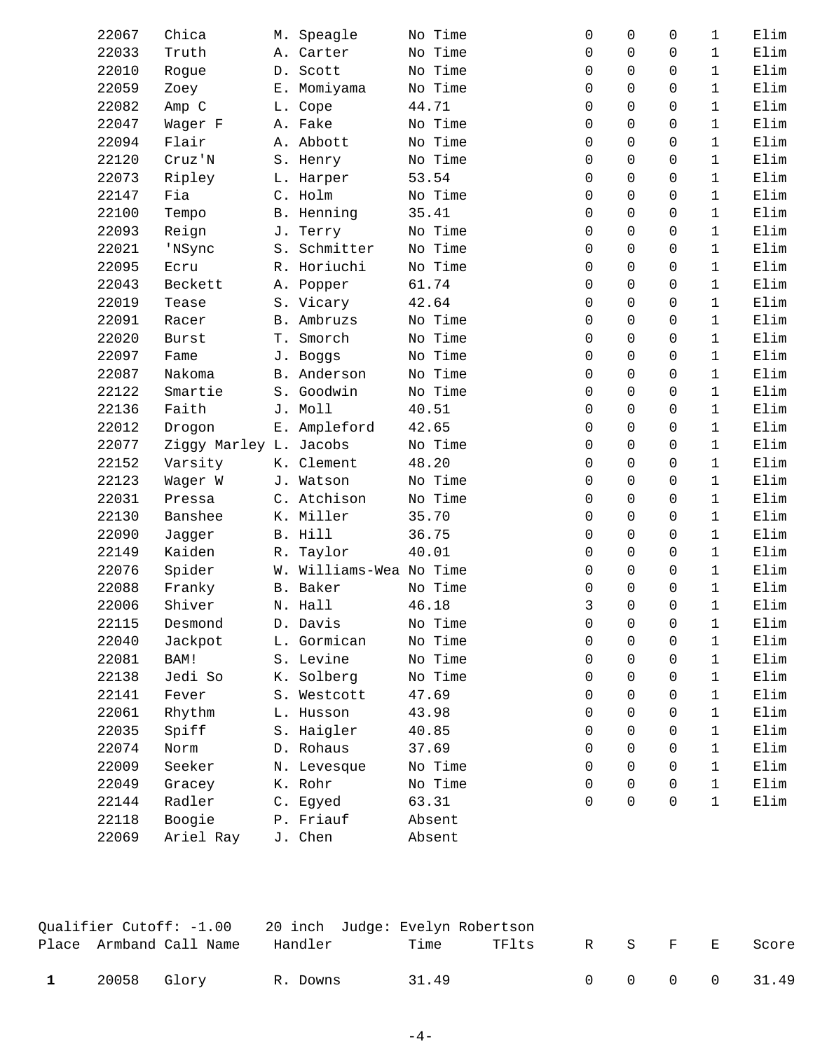| 22067 | Chica                  | M. Speagle              | No Time | $\Omega$    | $\Omega$ | 0        | 1                            | Elim |
|-------|------------------------|-------------------------|---------|-------------|----------|----------|------------------------------|------|
| 22033 | Truth                  | A. Carter               | No Time | $\Omega$    | $\Omega$ | 0        | $\mathbf{1}$<br>$\mathbf{1}$ | Elim |
| 22010 | Rogue                  | D. Scott                | No Time | $\Omega$    | $\Omega$ | 0        |                              | Elim |
| 22059 | Zoey                   | E. Momiyama             | No Time | $\Omega$    | $\Omega$ | $\Omega$ | $\mathbf{1}$                 | Elim |
| 22082 | Amp C                  | L. Cope                 | 44.71   | $\Omega$    | $\Omega$ | 0        | 1                            | Elim |
| 22047 | Wager F                | A. Fake                 | No Time | 0           | $\Omega$ | 0        | 1                            | Elim |
| 22094 | Flair                  | A. Abbott               | No Time | $\Omega$    | $\Omega$ | 0        | $\mathbf{1}$                 | Elim |
| 22120 | Cruz'N                 | S. Henry                | No Time | 0           | $\Omega$ | $\Omega$ | $\mathbf{1}$                 | Elim |
| 22073 | Ripley                 | L. Harper               | 53.54   | $\Omega$    | $\Omega$ | 0        | $\mathbf{1}$                 | Elim |
| 22147 | Fia                    | C. Holm                 | No Time | 0           | $\Omega$ | 0        | $\mathbf{1}$                 | Elim |
| 22100 | Tempo                  | B. Henning              | 35.41   | $\Omega$    | $\Omega$ | $\Omega$ | $\mathbf{1}$                 | Elim |
| 22093 | Reign                  | J. Terry                | No Time | 0           | $\Omega$ | $\Omega$ | $\mathbf{1}$                 | Elim |
| 22021 | 'NSync                 | S. Schmitter            | No Time | $\Omega$    | $\Omega$ | $\Omega$ | 1                            | Elim |
| 22095 | Ecru                   | R. Horiuchi             | No Time | $\Omega$    | $\Omega$ | 0        | 1                            | Elim |
| 22043 | Beckett                | A. Popper               | 61.74   | $\Omega$    | $\Omega$ | $\Omega$ | $\mathbf{1}$                 | Elim |
| 22019 | Tease                  | S. Vicary               | 42.64   | $\Omega$    | $\Omega$ | $\Omega$ | $\mathbf{1}$                 | Elim |
| 22091 | Racer                  | B. Ambruzs              | No Time | $\Omega$    | $\Omega$ | $\Omega$ | $\mathbf{1}$                 | Elim |
| 22020 | <b>Burst</b>           | T. Smorch               | No Time | $\Omega$    | $\Omega$ | 0        | $\mathbf{1}$                 | Elim |
| 22097 | Fame                   | J. Boggs                | No Time | $\Omega$    | $\Omega$ | $\Omega$ | $\mathbf{1}$                 | Elim |
| 22087 | Nakoma                 | B. Anderson             | No Time | 0           | $\Omega$ | 0        | $\mathbf{1}$                 | Elim |
| 22122 | Smartie                | S. Goodwin              | No Time | $\Omega$    | $\Omega$ | $\Omega$ | $\mathbf{1}$                 | Elim |
| 22136 | Faith                  | J. Moll                 | 40.51   | $\Omega$    | $\Omega$ | 0        | 1                            | Elim |
| 22012 | Drogon                 | E. Ampleford            | 42.65   | $\Omega$    | $\Omega$ | 0        | 1                            | Elim |
| 22077 | Ziggy Marley L. Jacobs |                         | No Time | $\Omega$    | $\Omega$ | 0        | $\mathbf{1}$                 | Elim |
| 22152 | Varsity                | K. Clement              | 48.20   | $\Omega$    | $\Omega$ | $\Omega$ | $\mathbf{1}$                 | Elim |
| 22123 | Wager W                | J. Watson               | No Time | $\Omega$    | $\Omega$ | 0        | $\mathbf{1}$                 | Elim |
| 22031 | Pressa                 | C. Atchison             | No Time | $\Omega$    | $\Omega$ | $\Omega$ | $\mathbf{1}$                 | Elim |
| 22130 | Banshee                | K. Miller               | 35.70   | $\Omega$    | $\Omega$ | 0        | $\mathbf 1$                  | Elim |
| 22090 | Jagger                 | B. Hill                 | 36.75   | $\mathbf 0$ | $\Omega$ | $\Omega$ | $\mathbf{1}$                 | Elim |
| 22149 | Kaiden                 | R. Taylor               | 40.01   | $\Omega$    | $\Omega$ | 0        | 1                            | Elim |
| 22076 | Spider                 | W. Williams-Wea No Time |         | $\Omega$    | $\Omega$ | 0        | $\mathbf{1}$                 | Elim |
| 22088 | Franky                 | B. Baker                | No Time | $\Omega$    | $\Omega$ | $\Omega$ | $\mathbf{1}$                 | Elim |
| 22006 | Shiver                 | N. Hall                 | 46.18   | 3           | $\Omega$ | 0        | $\mathbf 1$                  | Elim |
| 22115 | Desmond                | D. Davis                | No Time | 0           | 0        | 0        | $\mathbf 1$                  | Elim |
| 22040 | Jackpot                | L. Gormican             | No Time | $\Omega$    | $\Omega$ | 0        | 1                            | Elim |
| 22081 | BAM!                   | S. Levine               | No Time | $\Omega$    | $\Omega$ | 0        | $\mathbf{1}$                 | Elim |
| 22138 | Jedi So                | K. Solberg              | No Time | 0           | $\Omega$ | 0        | $\mathbf{1}$                 | Elim |
| 22141 | Fever                  | S. Westcott             | 47.69   | 0           | $\Omega$ | 0        | 1                            | Elim |
| 22061 | Rhythm                 | L. Husson               | 43.98   | 0           | $\Omega$ | 0        | $\mathbf{1}$                 | Elim |
| 22035 | Spiff                  | S. Haigler              | 40.85   | 0           | $\Omega$ | 0        | $\mathbf{1}$                 | Elim |
| 22074 | Norm                   | D. Rohaus               | 37.69   | $\Omega$    | $\Omega$ | 0        | $\mathbf{1}$                 | Elim |
| 22009 | Seeker                 | N. Levesque             | No Time | $\Omega$    | $\Omega$ | 0        | $\mathbf{1}$                 | Elim |
| 22049 | Gracey                 | K. Rohr                 | No Time | $\Omega$    | $\Omega$ | 0        | $\mathbf{1}$                 | Elim |
| 22144 | Radler                 | C. Egyed                | 63.31   | 0           | $\Omega$ | 0        | 1                            | Elim |
| 22118 | Boogie                 | P. Friauf               | Absent  |             |          |          |                              |      |
| 22069 | Ariel Ray              | J. Chen                 | Absent  |             |          |          |                              |      |
|       |                        |                         |         |             |          |          |                              |      |

|              |             | Place Armband Call Name | Handler  | Time  | TFlts |  |  | R S F E Score |
|--------------|-------------|-------------------------|----------|-------|-------|--|--|---------------|
| $\mathbf{1}$ | 20058 Glory |                         | R. Downs | 31.49 |       |  |  | 0 0 0 0 31.49 |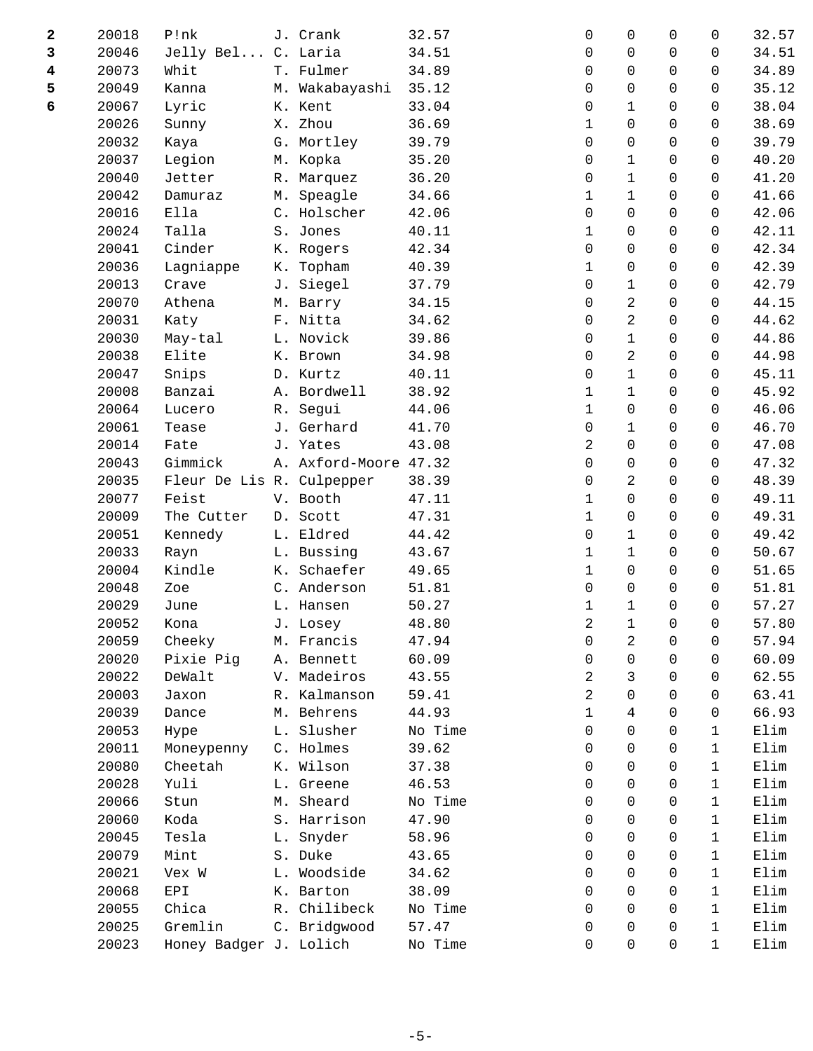| 2 | 20018 | P!nk                      |    | J. Crank              | 32.57   | 0              | 0              | $\Omega$     | 0            | 32.57 |
|---|-------|---------------------------|----|-----------------------|---------|----------------|----------------|--------------|--------------|-------|
| 3 | 20046 | Jelly Bel                 |    | C. Laria              | 34.51   | 0              | 0              | $\Omega$     | $\Omega$     | 34.51 |
| 4 | 20073 | Whit                      |    | T. Fulmer             | 34.89   | 0              | $\Omega$       | $\Omega$     | $\Omega$     | 34.89 |
| 5 | 20049 | Kanna                     |    | M. Wakabayashi        | 35.12   | $\mathbf 0$    | 0              | $\mathbf 0$  | $\mathbf 0$  | 35.12 |
| 6 | 20067 | Lyric                     |    | K. Kent               | 33.04   | 0              | $\mathbf 1$    | $\mathbf 0$  | $\Omega$     | 38.04 |
|   | 20026 | Sunny                     | Х. | Zhou                  | 36.69   | $\mathbf{1}$   | 0              | $\Omega$     | 0            | 38.69 |
|   | 20032 | Kaya                      |    | G. Mortley            | 39.79   | 0              | 0              | $\Omega$     | $\Omega$     | 39.79 |
|   | 20037 | Legion                    |    | M. Kopka              | 35.20   | 0              | $\mathbf 1$    | $\mathbf 0$  | $\mathbf 0$  | 40.20 |
|   | 20040 | Jetter                    |    | R. Marquez            | 36.20   | $\mathbf 0$    | $\mathbf 1$    | $\mathsf{O}$ | $\mathbf 0$  | 41.20 |
|   | 20042 | Damuraz                   | М. | Speagle               | 34.66   | 1              | $\mathbf 1$    | $\Omega$     | $\Omega$     | 41.66 |
|   | 20016 | Ella                      |    | C. Holscher           | 42.06   | 0              | $\Omega$       | $\Omega$     | $\Omega$     | 42.06 |
|   | 20024 | Talla                     |    | S. Jones              | 40.11   | $\mathbf 1$    | 0              | $\mathbf 0$  | $\Omega$     | 42.11 |
|   | 20041 | Cinder                    |    | K. Rogers             | 42.34   | 0              | 0              | $\mathbf 0$  | 0            | 42.34 |
|   | 20036 | Lagniappe                 | К. | Topham                | 40.39   | $\mathbf 1$    | 0              | $\Omega$     | $\Omega$     | 42.39 |
|   | 20013 | Crave                     | J. | Siegel                | 37.79   | $\mathbf 0$    | 1              | 0            | $\Omega$     | 42.79 |
|   | 20070 | Athena                    |    | M. Barry              | 34.15   | $\mathbf 0$    | 2              | $\Omega$     | 0            | 44.15 |
|   | 20031 | Katy                      |    | F. Nitta              | 34.62   | $\mathbf 0$    | $\overline{2}$ | $\mathsf{O}$ | $\mathbf 0$  | 44.62 |
|   | 20030 | May-tal                   |    | L. Novick             | 39.86   | 0              | $\mathbf{1}$   | $\Omega$     | $\Omega$     | 44.86 |
|   | 20038 | Elite                     |    | K. Brown              | 34.98   | 0              | 2              | $\Omega$     | 0            | 44.98 |
|   | 20047 | Snips                     |    | D. Kurtz              | 40.11   | 0              | $\mathbf 1$    | $\Omega$     | $\Omega$     | 45.11 |
|   | 20008 | Banzai                    |    | A. Bordwell           | 38.92   | $\mathbf 1$    | $\mathbf{1}$   | $\mathbf 0$  | 0            | 45.92 |
|   | 20064 | Lucero                    | R. | Segui                 | 44.06   | 1              | 0              | $\mathbf 0$  | $\Omega$     | 46.06 |
|   | 20061 | Tease                     |    | J. Gerhard            | 41.70   | 0              | 1              | $\Omega$     | 0            | 46.70 |
|   | 20014 | Fate                      |    | J. Yates              | 43.08   | 2              | $\Omega$       | $\Omega$     | $\Omega$     | 47.08 |
|   | 20043 | Gimmick                   |    | A. Axford-Moore 47.32 |         | $\mathbf 0$    | 0              | $\mathbf 0$  | $\mathbf 0$  | 47.32 |
|   | 20035 | Fleur De Lis R. Culpepper |    |                       | 38.39   | 0              | 2              | $\Omega$     | $\Omega$     | 48.39 |
|   | 20077 | Feist                     |    | V. Booth              | 47.11   | $\mathbf{1}$   | 0              | $\Omega$     | 0            | 49.11 |
|   | 20009 | The Cutter                |    | D. Scott              | 47.31   | $\mathbf{1}$   | 0              | $\Omega$     | $\Omega$     | 49.31 |
|   | 20051 | Kennedy                   |    | L. Eldred             | 44.42   | 0              | $\mathbf 1$    | $\mathbf 0$  | $\mathbf 0$  | 49.42 |
|   | 20033 | Rayn                      |    | L. Bussing            | 43.67   | $\mathbf 1$    | $\mathbf 1$    | $\mathbf 0$  | $\Omega$     | 50.67 |
|   | 20004 | Kindle                    | К. | Schaefer              | 49.65   | $\mathbf 1$    | 0              | $\Omega$     | $\Omega$     | 51.65 |
|   | 20048 | Zoe                       |    | C. Anderson           | 51.81   | $\Omega$       | $\Omega$       | $\Omega$     | $\Omega$     | 51.81 |
|   | 20029 | June                      |    | L. Hansen             | 50.27   | 1              | $\mathbf 1$    | $\mathbf 0$  | 0            | 57.27 |
|   | 20052 | Kona                      |    | J. Losey              | 48.80   | $\overline{a}$ | $\mathbf 1$    | $\mathsf{O}$ | 0            | 57.80 |
|   | 20059 | Cheeky                    |    | M. Francis            | 47.94   | 0              | 2              | $\Omega$     | 0            | 57.94 |
|   | 20020 | Pixie Pig                 |    | A. Bennett            | 60.09   | 0              | $\Omega$       | $\Omega$     | 0            | 60.09 |
|   | 20022 | DeWalt                    |    | V. Madeiros           | 43.55   | 2              | 3              | $\Omega$     | 0            | 62.55 |
|   | 20003 | Jaxon                     |    | R. Kalmanson          | 59.41   | 2              | 0              | $\Omega$     | 0            | 63.41 |
|   | 20039 | Dance                     |    | M. Behrens            | 44.93   | $\mathbf 1$    | 4              | $\Omega$     | 0            | 66.93 |
|   | 20053 | Hype                      |    | L. Slusher            | No Time | $\Omega$       | $\Omega$       | $\Omega$     | 1            | Elim  |
|   | 20011 | Moneypenny                |    | C. Holmes             | 39.62   | 0              | $\Omega$       | $\Omega$     | $\mathbf{1}$ | Elim  |
|   | 20080 | Cheetah                   |    | K. Wilson             | 37.38   | 0              | 0              | 0            | $\mathbf{1}$ | Elim  |
|   | 20028 | Yuli                      |    | L. Greene             | 46.53   | 0              | $\Omega$       | $\Omega$     | $\mathbf{1}$ | Elim  |
|   | 20066 | Stun                      |    | M. Sheard             | No Time | $\Omega$       | $\Omega$       | 0            | 1            | Elim  |
|   | 20060 | Koda                      |    | S. Harrison           | 47.90   | 0              | $\Omega$       | $\Omega$     | 1            | Elim  |
|   | 20045 | Tesla                     |    | L. Snyder             | 58.96   | 0              | 0              | 0            | 1            | Elim  |
|   | 20079 | Mint                      |    | S. Duke               | 43.65   | 0              | 0              | 0            | $\mathbf 1$  | Elim  |
|   | 20021 | Vex W                     |    | L. Woodside           | 34.62   | 0              | $\Omega$       | 0            | $\mathbf{1}$ | Elim  |
|   | 20068 | EPI                       |    | K. Barton             | 38.09   | 0              | $\Omega$       | $\Omega$     | 1            | Elim  |
|   | 20055 | Chica                     |    | R. Chilibeck          | No Time | 0              | 0              | $\Omega$     | $\mathbf{1}$ | Elim  |
|   | 20025 | Gremlin                   |    | C. Bridgwood          | 57.47   | 0              | 0              | $\Omega$     | 1            | Elim  |
|   | 20023 | Honey Badger J. Lolich    |    |                       | No Time | 0              | 0              | $\mathbf 0$  | $\mathbf 1$  | Elim  |
|   |       |                           |    |                       |         |                |                |              |              |       |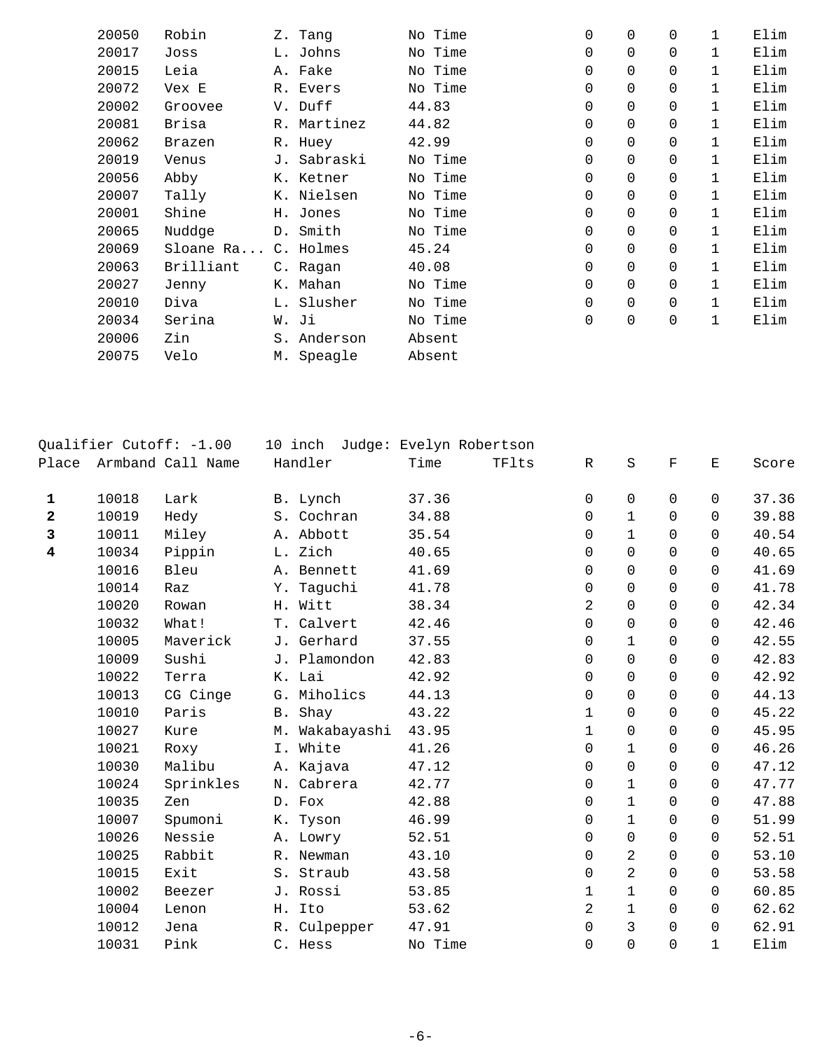| 20050 | Robin     | Z. Tang     |       | No Time | $\Omega$ | 0        | 0        | 1            | Elim |
|-------|-----------|-------------|-------|---------|----------|----------|----------|--------------|------|
| 20017 | Joss      | L. Johns    |       | No Time | $\Omega$ | $\Omega$ | 0        | 1            | Elim |
| 20015 | Leia      | A. Fake     |       | No Time | $\Omega$ | $\Omega$ | 0        | 1            | Elim |
| 20072 | Vex E     | R. Evers    |       | No Time | 0        | $\Omega$ | 0        | 1            | Elim |
| 20002 | Groovee   | V. Duff     | 44.83 |         | $\Omega$ | $\Omega$ | 0        | 1            | Elim |
| 20081 | Brisa     | R. Martinez | 44.82 |         | $\Omega$ | $\Omega$ | 0        | 1            | Elim |
| 20062 | Brazen    | R. Huey     | 42.99 |         | $\Omega$ | $\Omega$ | 0        | 1            | Elim |
| 20019 | Venus     | J. Sabraski |       | No Time | $\Omega$ | $\Omega$ | $\Omega$ | 1            | Elim |
| 20056 | Abby      | K. Ketner   |       | No Time | $\Omega$ | $\Omega$ | $\Omega$ | $\mathbf{1}$ | Elim |
| 20007 | Tally     | K. Nielsen  |       | No Time | $\Omega$ | $\Omega$ | $\Omega$ | $\mathbf{1}$ | Elim |
| 20001 | Shine     | H. Jones    |       | No Time | $\Omega$ | $\Omega$ | $\Omega$ | $\mathbf{1}$ | Elim |
| 20065 | Nuddge    | D. Smith    |       | No Time | $\Omega$ | $\Omega$ | $\Omega$ | $\mathbf{1}$ | Elim |
| 20069 | Sloane Ra | C. Holmes   | 45.24 |         | $\Omega$ | $\Omega$ | $\Omega$ | $\mathbf{1}$ | Elim |
| 20063 | Brilliant | C. Ragan    | 40.08 |         | $\Omega$ | $\Omega$ | $\Omega$ | $\mathbf{1}$ | Elim |
| 20027 | Jenny     | K. Mahan    |       | No Time | 0        | $\Omega$ | $\Omega$ | 1            | Elim |
| 20010 | Diva      | L. Slusher  |       | No Time | 0        | $\Omega$ | $\Omega$ | 1            | Elim |
| 20034 | Serina    | W. Ji       |       | No Time | $\Omega$ | 0        | 0        | 1            | Elim |
| 20006 | Zin       | S. Anderson |       | Absent  |          |          |          |              |      |
| 20075 | Velo      | M. Speagle  |       | Absent  |          |          |          |              |      |
|       |           |             |       |         |          |          |          |              |      |

|              |       | Qualifier Cutoff: -1.00 |             |                | 10 inch Judge: Evelyn Robertson |       |              |                |             |              |       |
|--------------|-------|-------------------------|-------------|----------------|---------------------------------|-------|--------------|----------------|-------------|--------------|-------|
| Place        |       | Armband Call Name       | Handler     |                | Time                            | TFlts | R            | $\rm S$        | $\mathbf F$ | Е            | Score |
| $\mathbf{1}$ | 10018 | Lark                    | B. Lynch    |                | 37.36                           |       | $\Omega$     | $\mathbf 0$    | $\Omega$    | $\Omega$     | 37.36 |
| 2            | 10019 | Hedy                    | S. Cochran  |                | 34.88                           |       | $\Omega$     | $\mathbf{1}$   | $\Omega$    | $\Omega$     | 39.88 |
| 3            | 10011 | Miley                   | A. Abbott   |                | 35.54                           |       | 0            | $\mathbf{1}$   | $\Omega$    | $\Omega$     | 40.54 |
| 4            | 10034 | Pippin                  | L. Zich     |                | 40.65                           |       | $\Omega$     | $\Omega$       | $\Omega$    | $\Omega$     | 40.65 |
|              | 10016 | Bleu                    | A. Bennett  |                | 41.69                           |       | $\Omega$     | $\Omega$       | $\Omega$    | $\Omega$     | 41.69 |
|              | 10014 | Raz                     | Y. Taguchi  |                | 41.78                           |       | $\Omega$     | $\mathbf 0$    | $\Omega$    | $\Omega$     | 41.78 |
|              | 10020 | Rowan                   | H. Witt     |                | 38.34                           |       | 2            | $\Omega$       | $\Omega$    | $\Omega$     | 42.34 |
|              | 10032 | What!                   | T. Calvert  |                | 42.46                           |       | 0            | $\mathbf 0$    | $\mathbf 0$ | 0            | 42.46 |
|              | 10005 | Maverick                | J. Gerhard  |                | 37.55                           |       | 0            | $\mathbf{1}$   | $\Omega$    | $\Omega$     | 42.55 |
|              | 10009 | Sushi                   |             | J. Plamondon   | 42.83                           |       | 0            | $\Omega$       | $\Omega$    | $\Omega$     | 42.83 |
|              | 10022 | Terra                   | K. Lai      |                | 42.92                           |       | $\Omega$     | $\mathbf 0$    | $\Omega$    | $\Omega$     | 42.92 |
|              | 10013 | CG Cinge                | G. Miholics |                | 44.13                           |       | $\Omega$     | $\Omega$       | $\Omega$    | $\Omega$     | 44.13 |
|              | 10010 | Paris                   | B. Shay     |                | 43.22                           |       | 1            | $\mathbf 0$    | $\mathbf 0$ | $\Omega$     | 45.22 |
|              | 10027 | Kure                    |             | M. Wakabayashi | 43.95                           |       | $\mathbf{1}$ | $\Omega$       | $\Omega$    | $\Omega$     | 45.95 |
|              | 10021 | Roxy                    | I. White    |                | 41.26                           |       | $\mathbf 0$  | $\mathbf{1}$   | $\Omega$    | $\Omega$     | 46.26 |
|              | 10030 | Malibu                  | A. Kajava   |                | 47.12                           |       | $\Omega$     | $\Omega$       | $\Omega$    | $\Omega$     | 47.12 |
|              | 10024 | Sprinkles               | N. Cabrera  |                | 42.77                           |       | 0            | $\mathbf{1}$   | $\Omega$    | $\Omega$     | 47.77 |
|              | 10035 | Zen                     | D. Fox      |                | 42.88                           |       | $\Omega$     | $\mathbf{1}$   | $\Omega$    | $\Omega$     | 47.88 |
|              | 10007 | Spumoni                 | K. Tyson    |                | 46.99                           |       | $\Omega$     | $\mathbf{1}$   | $\Omega$    | $\Omega$     | 51.99 |
|              | 10026 | Nessie                  | A. Lowry    |                | 52.51                           |       | $\mathbf 0$  | $\mathbf 0$    | $\mathbf 0$ | $\Omega$     | 52.51 |
|              | 10025 | Rabbit                  | R. Newman   |                | 43.10                           |       | $\Omega$     | 2              | $\Omega$    | $\Omega$     | 53.10 |
|              | 10015 | Exit                    | S. Straub   |                | 43.58                           |       | $\Omega$     | $\overline{2}$ | $\Omega$    | $\Omega$     | 53.58 |
|              | 10002 | Beezer                  | J. Rossi    |                | 53.85                           |       | 1            | $\mathbf 1$    | $\Omega$    | $\Omega$     | 60.85 |
|              | 10004 | Lenon                   | H. Ito      |                | 53.62                           |       | 2            | $\mathbf 1$    | $\Omega$    | $\Omega$     | 62.62 |
|              | 10012 | Jena                    |             | R. Culpepper   | 47.91                           |       | 0            | 3              | $\Omega$    | $\mathbf 0$  | 62.91 |
|              | 10031 | Pink                    | C. Hess     |                | No Time                         |       | $\Omega$     | $\Omega$       | $\Omega$    | $\mathbf{1}$ | Elim  |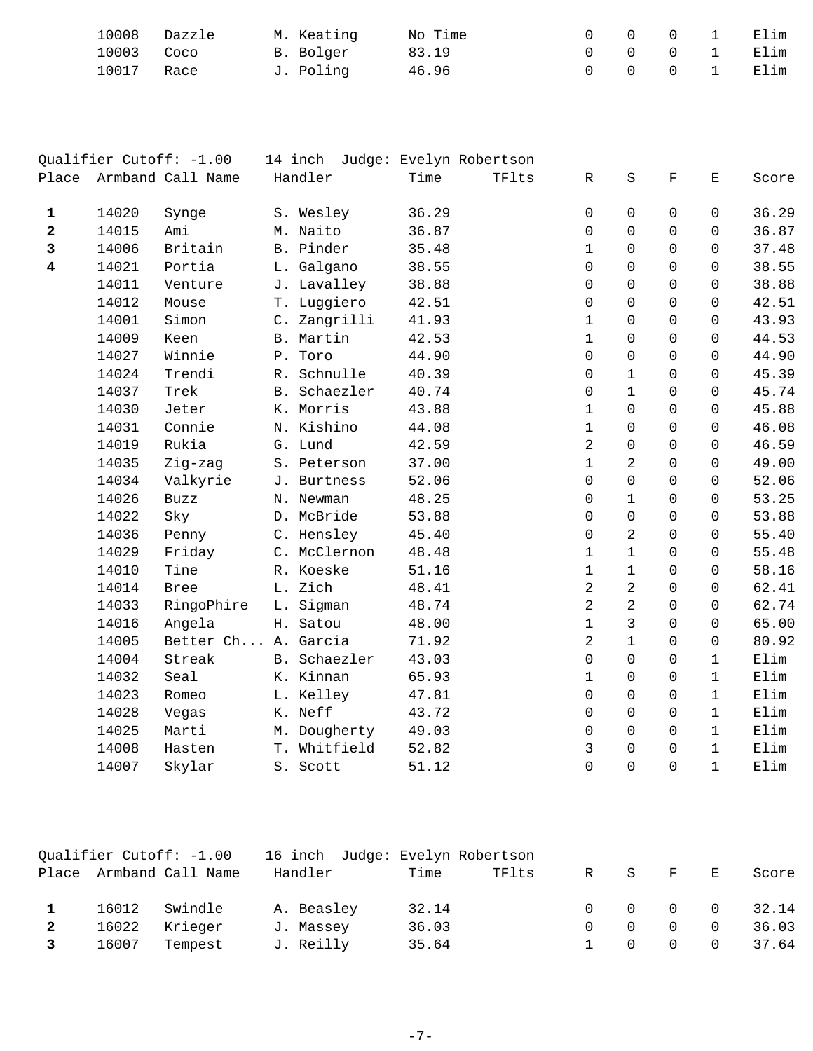| 10008 Dazzle |  | M. Keating | No Time |  | 0 0 0 1 Elim |  |
|--------------|--|------------|---------|--|--------------|--|
| 10003 Coco   |  | B. Bolger  | 83.19   |  | 0 0 0 1 Elim |  |
| 10017 Race   |  | J. Polinq  | 46.96   |  | 0 0 0 1 Elim |  |

|                         |       | Qualifier Cutoff: -1.00 |              |  |       | 14 inch Judge: Evelyn Robertson |                     |                |             |              |       |
|-------------------------|-------|-------------------------|--------------|--|-------|---------------------------------|---------------------|----------------|-------------|--------------|-------|
| Place                   |       | Armband Call Name       | Handler      |  | Time  | TFlts                           | R                   | S              | F           | Е            | Score |
| $\mathbf{1}$            | 14020 | Synge                   | S. Wesley    |  | 36.29 |                                 | $\mathbf 0$         | $\mathsf{O}$   | $\Omega$    | $\Omega$     | 36.29 |
| 2                       | 14015 | Ami                     | M. Naito     |  | 36.87 |                                 | 0                   | 0              | $\mathbf 0$ | $\mathbf 0$  | 36.87 |
| 3                       | 14006 | Britain                 | B. Pinder    |  | 35.48 |                                 | $\mathbf{1}$        | $\Omega$       | $\Omega$    | $\Omega$     | 37.48 |
| $\overline{\mathbf{4}}$ | 14021 | Portia                  | L. Galgano   |  | 38.55 |                                 | $\mathsf{O}$        | 0              | $\mathbf 0$ | $\mathbf 0$  | 38.55 |
|                         | 14011 | Venture                 | J. Lavalley  |  | 38.88 |                                 | $\mathbf 0$         | 0              | $\Omega$    | $\mathbf 0$  | 38.88 |
|                         | 14012 | Mouse                   | T. Luggiero  |  | 42.51 |                                 | $\mathbf 0$         | 0              | $\Omega$    | $\mathbf 0$  | 42.51 |
|                         | 14001 | Simon                   | C. Zangrilli |  | 41.93 |                                 | $\mathbf 1$         | $\Omega$       | $\Omega$    | $\mathbf 0$  | 43.93 |
|                         | 14009 | Keen                    | B. Martin    |  | 42.53 |                                 | $\mathbf 1$         | 0              | $\Omega$    | $\mathbf 0$  | 44.53 |
|                         | 14027 | Winnie                  | P. Toro      |  | 44.90 |                                 | $\mathbf 0$         | 0              | $\Omega$    | $\mathbf 0$  | 44.90 |
|                         | 14024 | Trendi                  | R. Schnulle  |  | 40.39 |                                 | $\mathbf 0$         | $\mathbf{1}$   | $\Omega$    | $\mathbf 0$  | 45.39 |
|                         | 14037 | Trek                    | B. Schaezler |  | 40.74 |                                 | $\mathsf 0$         | $\mathbf{1}$   | $\mathbf 0$ | $\mathbf 0$  | 45.74 |
|                         | 14030 | Jeter                   | K. Morris    |  | 43.88 |                                 | $\mathbf 1$         | $\mathsf{O}$   | $\mathbf 0$ | $\mathsf{O}$ | 45.88 |
|                         | 14031 | Connie                  | N. Kishino   |  | 44.08 |                                 | $\mathbf 1$         | 0              | $\mathbf 0$ | $\mathbf 0$  | 46.08 |
|                         | 14019 | Rukia                   | G. Lund      |  | 42.59 |                                 | 2                   | $\Omega$       | $\Omega$    | $\mathbf 0$  | 46.59 |
|                         | 14035 | Zig-zag                 | S. Peterson  |  | 37.00 |                                 | $\mathbf 1$         | $\overline{a}$ | $\Omega$    | $\Omega$     | 49.00 |
|                         | 14034 | Valkyrie                | J. Burtness  |  | 52.06 |                                 | $\mathbf 0$         | 0              | $\Omega$    | $\mathbf 0$  | 52.06 |
|                         | 14026 | Buzz                    | N. Newman    |  | 48.25 |                                 | 0                   | $\mathbf{1}$   | $\Omega$    | $\Omega$     | 53.25 |
|                         | 14022 | Sky                     | D. McBride   |  | 53.88 |                                 | 0                   | $\overline{0}$ | $\mathbf 0$ | $\Omega$     | 53.88 |
|                         | 14036 | Penny                   | C. Hensley   |  | 45.40 |                                 | 0                   | $\overline{2}$ | $\mathbf 0$ | $\mathbf 0$  | 55.40 |
|                         | 14029 | Friday                  | C. McClernon |  | 48.48 |                                 | $\mathbf 1$         | $\mathbf 1$    | $\Omega$    | $\mathbf 0$  | 55.48 |
|                         | 14010 | Tine                    | R. Koeske    |  | 51.16 |                                 | $\mathbf 1$         | $\mathbf{1}$   | $\Omega$    | 0            | 58.16 |
|                         | 14014 | <b>Bree</b>             | L. Zich      |  | 48.41 |                                 | 2                   | $\overline{2}$ | $\Omega$    | $\mathbf 0$  | 62.41 |
|                         | 14033 | RingoPhire              | L. Sigman    |  | 48.74 |                                 | $\overline{a}$      | $\overline{2}$ | $\mathbf 0$ | $\mathbf 0$  | 62.74 |
|                         | 14016 | Angela                  | H. Satou     |  | 48.00 |                                 | $\mathbf 1$         | $\overline{3}$ | $\Omega$    | $\mathbf 0$  | 65.00 |
|                         | 14005 | Better Ch A. Garcia     |              |  | 71.92 |                                 | 2                   | $\mathbf{1}$   | $\Omega$    | 0            | 80.92 |
|                         | 14004 | Streak                  | B. Schaezler |  | 43.03 |                                 | $\mathsf{O}\xspace$ | $\overline{0}$ | $\mathbf 0$ | $\mathbf 1$  | Elim  |
|                         | 14032 | Seal                    | K. Kinnan    |  | 65.93 |                                 | $\mathbf 1$         | 0              | $\Omega$    | $\mathbf{1}$ | Elim  |
|                         | 14023 | Romeo                   | L. Kelley    |  | 47.81 |                                 | 0                   | 0              | $\mathbf 0$ | $\mathbf{1}$ | Elim  |
|                         | 14028 | Vegas                   | K. Neff      |  | 43.72 |                                 | $\mathbf 0$         | $\Omega$       | $\Omega$    | $\mathbf{1}$ | Elim  |
|                         | 14025 | Marti                   | M. Dougherty |  | 49.03 |                                 | $\mathbf 0$         | 0              | $\Omega$    | $\mathbf 1$  | Elim  |
|                         | 14008 | Hasten                  | T. Whitfield |  | 52.82 |                                 | 3                   | $\Omega$       | $\Omega$    | $\mathbf{1}$ | Elim  |
|                         | 14007 | Skylar                  | S. Scott     |  | 51.12 |                                 | 0                   | $\Omega$       | $\Omega$    | $\mathbf{1}$ | Elim  |
|                         |       |                         |              |  |       |                                 |                     |                |             |              |       |

|                         |       | Qualifier Cutoff: -1.00 | 16 inch Judge: Evelyn Robertson |       |       |        |          |                  |          |                             |
|-------------------------|-------|-------------------------|---------------------------------|-------|-------|--------|----------|------------------|----------|-----------------------------|
|                         |       | Place Armband Call Name | Handler                         | Time  | TFlts |        | R S      | $\mathbf{F}$     | E        | Score                       |
|                         | 16012 | Swindle                 | A. Beasley                      | 32.14 |       |        |          |                  |          | $0 \t 0 \t 0 \t 0 \t 32.14$ |
|                         | 16022 | Krieger                 | J. Massey                       | 36.03 |       | $\cap$ | $\Omega$ | $\overline{0}$   | $\Omega$ | 36.03                       |
| $\overline{\mathbf{3}}$ | 16007 | Tempest                 | J. Reilly                       | 35.64 |       |        | $\Omega$ | $\overline{0}$ 0 |          | 37.64                       |